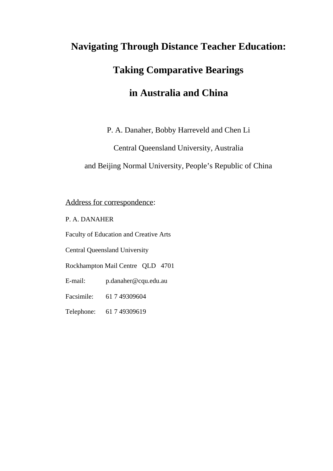# **Navigating Through Distance Teacher Education: Taking Comparative Bearings in Australia and China**

P. A. Danaher, Bobby Harreveld and Chen Li

Central Queensland University, Australia

and Beijing Normal University, People's Republic of China

Address for correspondence:

P. A. DANAHER

Faculty of Education and Creative Arts

Central Queensland University

Rockhampton Mail Centre QLD 4701

E-mail: p.danaher@cqu.edu.au

Facsimile: 61 7 49309604

Telephone: 61 7 49309619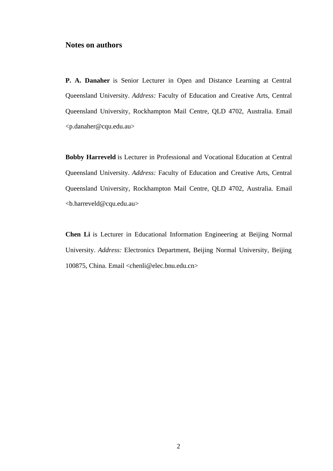### **Notes on authors**

**P. A. Danaher** is Senior Lecturer in Open and Distance Learning at Central Queensland University. *Address:* Faculty of Education and Creative Arts, Central Queensland University, Rockhampton Mail Centre, QLD 4702, Australia. Email <p.danaher@cqu.edu.au>

**Bobby Harreveld** is Lecturer in Professional and Vocational Education at Central Queensland University. *Address:* Faculty of Education and Creative Arts, Central Queensland University, Rockhampton Mail Centre, QLD 4702, Australia. Email <b.harreveld@cqu.edu.au>

**Chen Li** is Lecturer in Educational Information Engineering at Beijing Normal University. *Address:* Electronics Department, Beijing Normal University, Beijing 100875, China. Email <chenli@elec.bnu.edu.cn>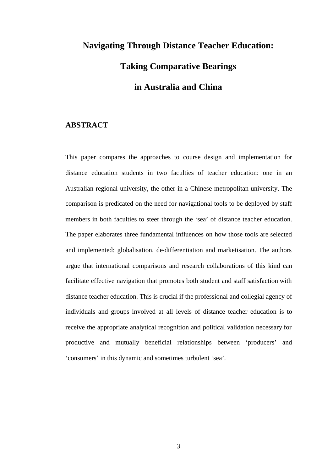## **Navigating Through Distance Teacher Education: Taking Comparative Bearings in Australia and China**

#### **ABSTRACT**

This paper compares the approaches to course design and implementation for distance education students in two faculties of teacher education: one in an Australian regional university, the other in a Chinese metropolitan university. The comparison is predicated on the need for navigational tools to be deployed by staff members in both faculties to steer through the 'sea' of distance teacher education. The paper elaborates three fundamental influences on how those tools are selected and implemented: globalisation, de-differentiation and marketisation. The authors argue that international comparisons and research collaborations of this kind can facilitate effective navigation that promotes both student and staff satisfaction with distance teacher education. This is crucial if the professional and collegial agency of individuals and groups involved at all levels of distance teacher education is to receive the appropriate analytical recognition and political validation necessary for productive and mutually beneficial relationships between 'producers' and 'consumers' in this dynamic and sometimes turbulent 'sea'.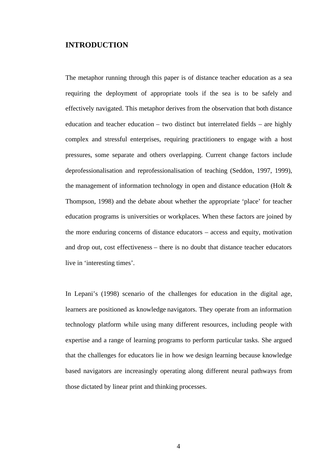#### **INTRODUCTION**

The metaphor running through this paper is of distance teacher education as a sea requiring the deployment of appropriate tools if the sea is to be safely and effectively navigated. This metaphor derives from the observation that both distance education and teacher education – two distinct but interrelated fields – are highly complex and stressful enterprises, requiring practitioners to engage with a host pressures, some separate and others overlapping. Current change factors include deprofessionalisation and reprofessionalisation of teaching (Seddon, 1997, 1999), the management of information technology in open and distance education (Holt & Thompson, 1998) and the debate about whether the appropriate 'place' for teacher education programs is universities or workplaces. When these factors are joined by the more enduring concerns of distance educators – access and equity, motivation and drop out, cost effectiveness – there is no doubt that distance teacher educators live in 'interesting times'.

In Lepani's (1998) scenario of the challenges for education in the digital age, learners are positioned as knowledge navigators. They operate from an information technology platform while using many different resources, including people with expertise and a range of learning programs to perform particular tasks. She argued that the challenges for educators lie in how we design learning because knowledge based navigators are increasingly operating along different neural pathways from those dictated by linear print and thinking processes.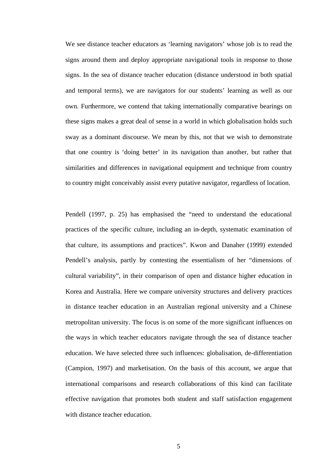We see distance teacher educators as 'learning navigators' whose job is to read the signs around them and deploy appropriate navigational tools in response to those signs. In the sea of distance teacher education (distance understood in both spatial and temporal terms), we are navigators for our students' learning as well as our own. Furthermore, we contend that taking internationally comparative bearings on these signs makes a great deal of sense in a world in which globalisation holds such sway as a dominant discourse. We mean by this, not that we wish to demonstrate that one country is 'doing better' in its navigation than another, but rather that similarities and differences in navigational equipment and technique from country to country might conceivably assist every putative navigator, regardless of location.

Pendell (1997, p. 25) has emphasised the "need to understand the educational practices of the specific culture, including an in-depth, systematic examination of that culture, its assumptions and practices". Kwon and Danaher (1999) extended Pendell's analysis, partly by contesting the essentialism of her "dimensions of cultural variability", in their comparison of open and distance higher education in Korea and Australia. Here we compare university structures and delivery practices in distance teacher education in an Australian regional university and a Chinese metropolitan university. The focus is on some of the more significant influences on the ways in which teacher educators navigate through the sea of distance teacher education. We have selected three such influences: globalisation, de-differentiation (Campion, 1997) and marketisation. On the basis of this account, we argue that international comparisons and research collaborations of this kind can facilitate effective navigation that promotes both student and staff satisfaction engagement with distance teacher education.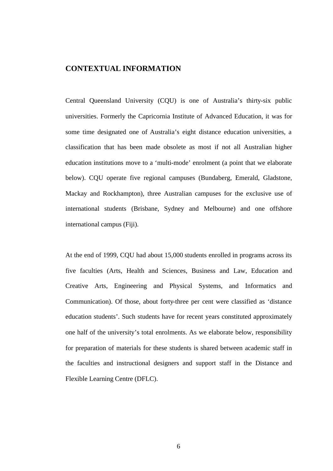## **CONTEXTUAL INFORMATION**

Central Queensland University (CQU) is one of Australia's thirty-six public universities. Formerly the Capricornia Institute of Advanced Education, it was for some time designated one of Australia's eight distance education universities, a classification that has been made obsolete as most if not all Australian higher education institutions move to a 'multi-mode' enrolment (a point that we elaborate below). CQU operate five regional campuses (Bundaberg, Emerald, Gladstone, Mackay and Rockhampton), three Australian campuses for the exclusive use of international students (Brisbane, Sydney and Melbourne) and one offshore international campus (Fiji).

At the end of 1999, CQU had about 15,000 students enrolled in programs across its five faculties (Arts, Health and Sciences, Business and Law, Education and Creative Arts, Engineering and Physical Systems, and Informatics and Communication). Of those, about forty-three per cent were classified as 'distance education students'. Such students have for recent years constituted approximately one half of the university's total enrolments. As we elaborate below, responsibility for preparation of materials for these students is shared between academic staff in the faculties and instructional designers and support staff in the Distance and Flexible Learning Centre (DFLC).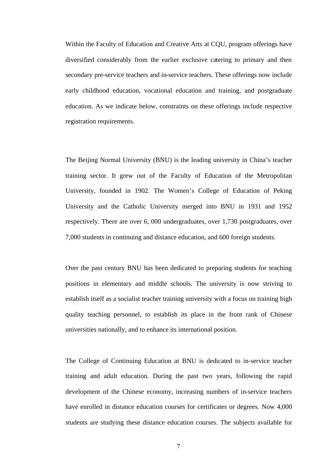Within the Faculty of Education and Creative Arts at CQU, program offerings have diversified considerably from the earlier exclusive catering to primary and then secondary pre-service teachers and in-service teachers. These offerings now include early childhood education, vocational education and training, and postgraduate education. As we indicate below, constraints on these offerings include respective registration requirements.

The Beijing Normal University (BNU) is the leading university in China's teacher training sector. It grew out of the Faculty of Education of the Metropolitan University, founded in 1902. The Women's College of Education of Peking University and the Catholic University merged into BNU in 1931 and 1952 respectively. There are over 6, 000 undergraduates, over 1,730 postgraduates, over 7,000 students in continuing and distance education, and 600 foreign students.

Over the past century BNU has been dedicated to preparing students for teaching positions in elementary and middle schools. The university is now striving to establish itself as a socialist teacher training university with a focus on training high quality teaching personnel, to establish its place in the front rank of Chinese universities nationally, and to enhance its international position.

The College of Continuing Education at BNU is dedicated to in-service teacher training and adult education. During the past two years, following the rapid development of the Chinese economy, increasing numbers of in-service teachers have enrolled in distance education courses for certificates or degrees. Now 4,000 students are studying these distance education courses. The subjects available for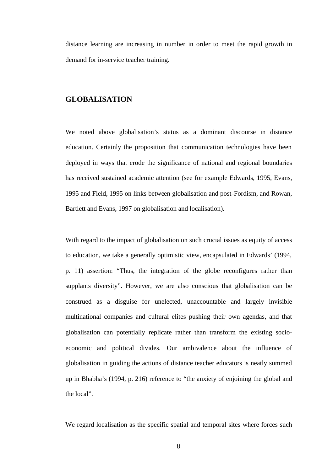distance learning are increasing in number in order to meet the rapid growth in demand for in-service teacher training.

#### **GLOBALISATION**

We noted above globalisation's status as a dominant discourse in distance education. Certainly the proposition that communication technologies have been deployed in ways that erode the significance of national and regional boundaries has received sustained academic attention (see for example Edwards, 1995, Evans, 1995 and Field, 1995 on links between globalisation and post-Fordism, and Rowan, Bartlett and Evans, 1997 on globalisation and localisation).

With regard to the impact of globalisation on such crucial issues as equity of access to education, we take a generally optimistic view, encapsulated in Edwards' (1994, p. 11) assertion: "Thus, the integration of the globe reconfigures rather than supplants diversity". However, we are also conscious that globalisation can be construed as a disguise for unelected, unaccountable and largely invisible multinational companies and cultural elites pushing their own agendas, and that globalisation can potentially replicate rather than transform the existing socioeconomic and political divides. Our ambivalence about the influence of globalisation in guiding the actions of distance teacher educators is neatly summed up in Bhabha's (1994, p. 216) reference to "the anxiety of enjoining the global and the local".

We regard localisation as the specific spatial and temporal sites where forces such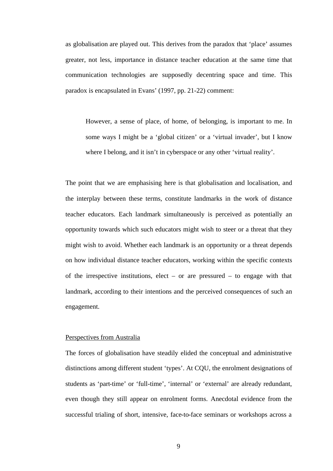as globalisation are played out. This derives from the paradox that 'place' assumes greater, not less, importance in distance teacher education at the same time that communication technologies are supposedly decentring space and time. This paradox is encapsulated in Evans' (1997, pp. 21-22) comment:

However, a sense of place, of home, of belonging, is important to me. In some ways I might be a 'global citizen' or a 'virtual invader', but I know where I belong, and it isn't in cyberspace or any other 'virtual reality'.

The point that we are emphasising here is that globalisation and localisation, and the interplay between these terms, constitute landmarks in the work of distance teacher educators. Each landmark simultaneously is perceived as potentially an opportunity towards which such educators might wish to steer or a threat that they might wish to avoid. Whether each landmark is an opportunity or a threat depends on how individual distance teacher educators, working within the specific contexts of the irrespective institutions, elect – or are pressured – to engage with that landmark, according to their intentions and the perceived consequences of such an engagement.

#### Perspectives from Australia

The forces of globalisation have steadily elided the conceptual and administrative distinctions among different student 'types'. At CQU, the enrolment designations of students as 'part-time' or 'full-time', 'internal' or 'external' are already redundant, even though they still appear on enrolment forms. Anecdotal evidence from the successful trialing of short, intensive, face-to-face seminars or workshops across a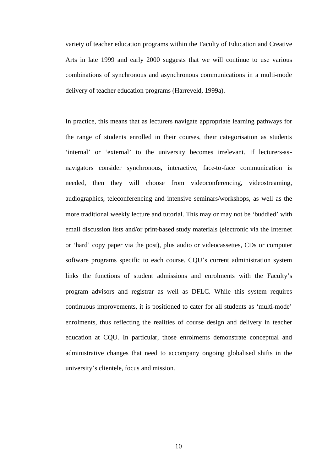variety of teacher education programs within the Faculty of Education and Creative Arts in late 1999 and early 2000 suggests that we will continue to use various combinations of synchronous and asynchronous communications in a multi-mode delivery of teacher education programs (Harreveld, 1999a).

In practice, this means that as lecturers navigate appropriate learning pathways for the range of students enrolled in their courses, their categorisation as students 'internal' or 'external' to the university becomes irrelevant. If lecturers-asnavigators consider synchronous, interactive, face-to-face communication is needed, then they will choose from videoconferencing, videostreaming, audiographics, teleconferencing and intensive seminars/workshops, as well as the more traditional weekly lecture and tutorial. This may or may not be 'buddied' with email discussion lists and/or print-based study materials (electronic via the Internet or 'hard' copy paper via the post), plus audio or videocassettes, CDs or computer software programs specific to each course. CQU's current administration system links the functions of student admissions and enrolments with the Faculty's program advisors and registrar as well as DFLC. While this system requires continuous improvements, it is positioned to cater for all students as 'multi-mode' enrolments, thus reflecting the realities of course design and delivery in teacher education at CQU. In particular, those enrolments demonstrate conceptual and administrative changes that need to accompany ongoing globalised shifts in the university's clientele, focus and mission.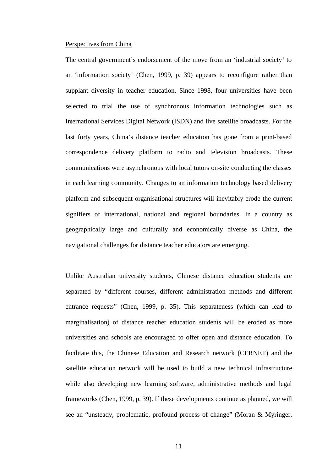#### Perspectives from China

The central government's endorsement of the move from an 'industrial society' to an 'information society' (Chen, 1999, p. 39) appears to reconfigure rather than supplant diversity in teacher education. Since 1998, four universities have been selected to trial the use of synchronous information technologies such as International Services Digital Network (ISDN) and live satellite broadcasts. For the last forty years, China's distance teacher education has gone from a print-based correspondence delivery platform to radio and television broadcasts. These communications were asynchronous with local tutors on-site conducting the classes in each learning community. Changes to an information technology based delivery platform and subsequent organisational structures will inevitably erode the current signifiers of international, national and regional boundaries. In a country as geographically large and culturally and economically diverse as China, the navigational challenges for distance teacher educators are emerging.

Unlike Australian university students, Chinese distance education students are separated by "different courses, different administration methods and different entrance requests" (Chen, 1999, p. 35). This separateness (which can lead to marginalisation) of distance teacher education students will be eroded as more universities and schools are encouraged to offer open and distance education. To facilitate this, the Chinese Education and Research network (CERNET) and the satellite education network will be used to build a new technical infrastructure while also developing new learning software, administrative methods and legal frameworks (Chen, 1999, p. 39). If these developments continue as planned, we will see an "unsteady, problematic, profound process of change" (Moran & Myringer,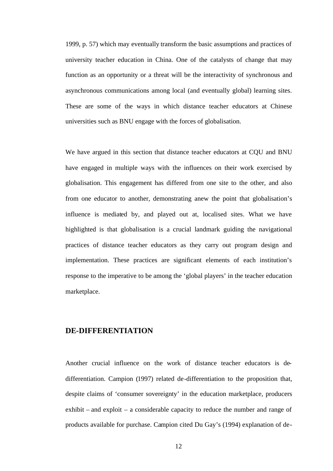1999, p. 57) which may eventually transform the basic assumptions and practices of university teacher education in China. One of the catalysts of change that may function as an opportunity or a threat will be the interactivity of synchronous and asynchronous communications among local (and eventually global) learning sites. These are some of the ways in which distance teacher educators at Chinese universities such as BNU engage with the forces of globalisation.

We have argued in this section that distance teacher educators at CQU and BNU have engaged in multiple ways with the influences on their work exercised by globalisation. This engagement has differed from one site to the other, and also from one educator to another, demonstrating anew the point that globalisation's influence is mediated by, and played out at, localised sites. What we have highlighted is that globalisation is a crucial landmark guiding the navigational practices of distance teacher educators as they carry out program design and implementation. These practices are significant elements of each institution's response to the imperative to be among the 'global players' in the teacher education marketplace.

## **DE-DIFFERENTIATION**

Another crucial influence on the work of distance teacher educators is dedifferentiation. Campion (1997) related de-differentiation to the proposition that, despite claims of 'consumer sovereignty' in the education marketplace, producers exhibit – and exploit – a considerable capacity to reduce the number and range of products available for purchase. Campion cited Du Gay's (1994) explanation of de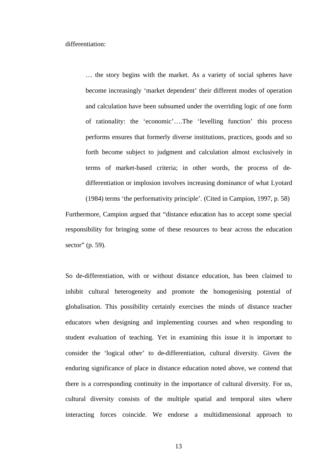differentiation:

… the story begins with the market. As a variety of social spheres have become increasingly 'market dependent' their different modes of operation and calculation have been subsumed under the overriding logic of one form of rationality: the 'economic'….The 'levelling function' this process performs ensures that formerly diverse institutions, practices, goods and so forth become subject to judgment and calculation almost exclusively in terms of market-based criteria; in other words, the process of dedifferentiation or implosion involves increasing dominance of what Lyotard

(1984) terms 'the performativity principle'. (Cited in Campion, 1997, p. 58) Furthermore, Campion argued that "distance education has to accept some special responsibility for bringing some of these resources to bear across the education sector" (p. 59).

So de-differentiation, with or without distance education, has been claimed to inhibit cultural heterogeneity and promote the homogenising potential of globalisation. This possibility certainly exercises the minds of distance teacher educators when designing and implementing courses and when responding to student evaluation of teaching. Yet in examining this issue it is important to consider the 'logical other' to de-differentiation, cultural diversity. Given the enduring significance of place in distance education noted above, we contend that there is a corresponding continuity in the importance of cultural diversity. For us, cultural diversity consists of the multiple spatial and temporal sites where interacting forces coincide. We endorse a multidimensional approach to

13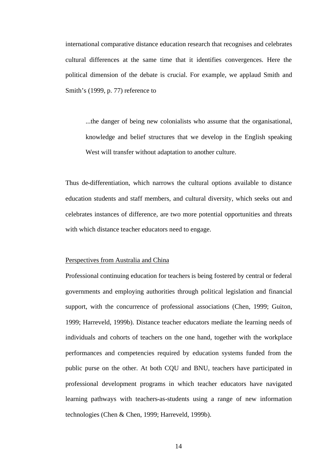international comparative distance education research that recognises and celebrates cultural differences at the same time that it identifies convergences. Here the political dimension of the debate is crucial. For example, we applaud Smith and Smith's (1999, p. 77) reference to

...the danger of being new colonialists who assume that the organisational, knowledge and belief structures that we develop in the English speaking West will transfer without adaptation to another culture.

Thus de-differentiation, which narrows the cultural options available to distance education students and staff members, and cultural diversity, which seeks out and celebrates instances of difference, are two more potential opportunities and threats with which distance teacher educators need to engage.

#### Perspectives from Australia and China

Professional continuing education for teachers is being fostered by central or federal governments and employing authorities through political legislation and financial support, with the concurrence of professional associations (Chen, 1999; Guiton, 1999; Harreveld, 1999b). Distance teacher educators mediate the learning needs of individuals and cohorts of teachers on the one hand, together with the workplace performances and competencies required by education systems funded from the public purse on the other. At both CQU and BNU, teachers have participated in professional development programs in which teacher educators have navigated learning pathways with teachers-as-students using a range of new information technologies (Chen & Chen, 1999; Harreveld, 1999b).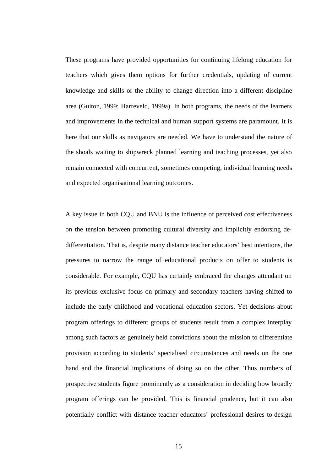These programs have provided opportunities for continuing lifelong education for teachers which gives them options for further credentials, updating of current knowledge and skills or the ability to change direction into a different discipline area (Guiton, 1999; Harreveld, 1999a). In both programs, the needs of the learners and improvements in the technical and human support systems are paramount. It is here that our skills as navigators are needed. We have to understand the nature of the shoals waiting to shipwreck planned learning and teaching processes, yet also remain connected with concurrent, sometimes competing, individual learning needs and expected organisational learning outcomes.

A key issue in both CQU and BNU is the influence of perceived cost effectiveness on the tension between promoting cultural diversity and implicitly endorsing dedifferentiation. That is, despite many distance teacher educators' best intentions, the pressures to narrow the range of educational products on offer to students is considerable. For example, CQU has certainly embraced the changes attendant on its previous exclusive focus on primary and secondary teachers having shifted to include the early childhood and vocational education sectors. Yet decisions about program offerings to different groups of students result from a complex interplay among such factors as genuinely held convictions about the mission to differentiate provision according to students' specialised circumstances and needs on the one hand and the financial implications of doing so on the other. Thus numbers of prospective students figure prominently as a consideration in deciding how broadly program offerings can be provided. This is financial prudence, but it can also potentially conflict with distance teacher educators' professional desires to design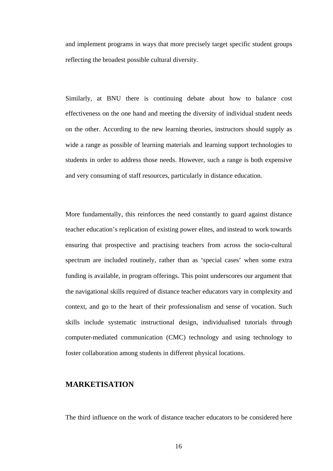and implement programs in ways that more precisely target specific student groups reflecting the broadest possible cultural diversity.

Similarly, at BNU there is continuing debate about how to balance cost effectiveness on the one hand and meeting the diversity of individual student needs on the other. According to the new learning theories, instructors should supply as wide a range as possible of learning materials and learning support technologies to students in order to address those needs. However, such a range is both expensive and very consuming of staff resources, particularly in distance education.

More fundamentally, this reinforces the need constantly to guard against distance teacher education's replication of existing power elites, and instead to work towards ensuring that prospective and practising teachers from across the socio-cultural spectrum are included routinely, rather than as 'special cases' when some extra funding is available, in program offerings. This point underscores our argument that the navigational skills required of distance teacher educators vary in complexity and context, and go to the heart of their professionalism and sense of vocation. Such skills include systematic instructional design, individualised tutorials through computer-mediated communication (CMC) technology and using technology to foster collaboration among students in different physical locations.

## **MARKETISATION**

The third influence on the work of distance teacher educators to be considered here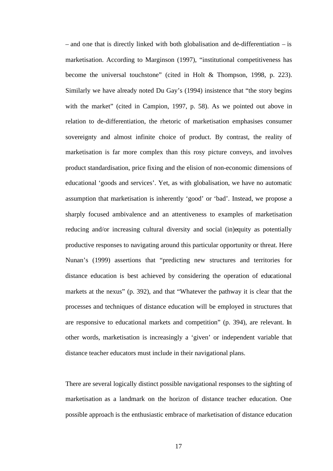– and one that is directly linked with both globalisation and de-differentiation – is marketisation. According to Marginson (1997), "institutional competitiveness has become the universal touchstone" (cited in Holt & Thompson, 1998, p. 223). Similarly we have already noted Du Gay's (1994) insistence that "the story begins with the market" (cited in Campion, 1997, p. 58). As we pointed out above in relation to de-differentiation, the rhetoric of marketisation emphasises consumer sovereignty and almost infinite choice of product. By contrast, the reality of marketisation is far more complex than this rosy picture conveys, and involves product standardisation, price fixing and the elision of non-economic dimensions of educational 'goods and services'. Yet, as with globalisation, we have no automatic assumption that marketisation is inherently 'good' or 'bad'. Instead, we propose a sharply focused ambivalence and an attentiveness to examples of marketisation reducing and/or increasing cultural diversity and social (in)equity as potentially productive responses to navigating around this particular opportunity or threat. Here Nunan's (1999) assertions that "predicting new structures and territories for distance education is best achieved by considering the operation of educational markets at the nexus" (p. 392), and that "Whatever the pathway it is clear that the processes and techniques of distance education will be employed in structures that are responsive to educational markets and competition" (p. 394), are relevant. In other words, marketisation is increasingly a 'given' or independent variable that distance teacher educators must include in their navigational plans.

There are several logically distinct possible navigational responses to the sighting of marketisation as a landmark on the horizon of distance teacher education. One possible approach is the enthusiastic embrace of marketisation of distance education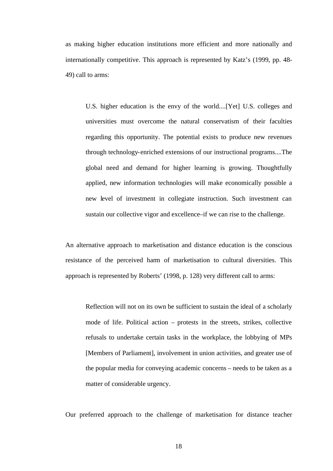as making higher education institutions more efficient and more nationally and internationally competitive. This approach is represented by Katz's (1999, pp. 48- 49) call to arms:

U.S. higher education is the envy of the world....[Yet] U.S. colleges and universities must overcome the natural conservatism of their faculties regarding this opportunity. The potential exists to produce new revenues through technology-enriched extensions of our instructional programs....The global need and demand for higher learning is growing. Thoughtfully applied, new information technologies will make economically possible a new level of investment in collegiate instruction. Such investment can sustain our collective vigor and excellence–if we can rise to the challenge.

An alternative approach to marketisation and distance education is the conscious resistance of the perceived harm of marketisation to cultural diversities. This approach is represented by Roberts' (1998, p. 128) very different call to arms:

Reflection will not on its own be sufficient to sustain the ideal of a scholarly mode of life. Political action – protests in the streets, strikes, collective refusals to undertake certain tasks in the workplace, the lobbying of MPs [Members of Parliament], involvement in union activities, and greater use of the popular media for conveying academic concerns – needs to be taken as a matter of considerable urgency.

Our preferred approach to the challenge of marketisation for distance teacher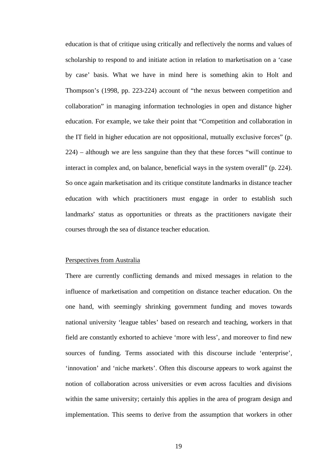education is that of critique using critically and reflectively the norms and values of scholarship to respond to and initiate action in relation to marketisation on a 'case by case' basis. What we have in mind here is something akin to Holt and Thompson's (1998, pp. 223-224) account of "the nexus between competition and collaboration" in managing information technologies in open and distance higher education. For example, we take their point that "Competition and collaboration in the IT field in higher education are not oppositional, mutually exclusive forces" (p. 224) – although we are less sanguine than they that these forces "will continue to interact in complex and, on balance, beneficial ways in the system overall" (p. 224). So once again marketisation and its critique constitute landmarks in distance teacher education with which practitioners must engage in order to establish such landmarks' status as opportunities or threats as the practitioners navigate their courses through the sea of distance teacher education.

#### Perspectives from Australia

There are currently conflicting demands and mixed messages in relation to the influence of marketisation and competition on distance teacher education. On the one hand, with seemingly shrinking government funding and moves towards national university 'league tables' based on research and teaching, workers in that field are constantly exhorted to achieve 'more with less', and moreover to find new sources of funding. Terms associated with this discourse include 'enterprise', 'innovation' and 'niche markets'. Often this discourse appears to work against the notion of collaboration across universities or even across faculties and divisions within the same university; certainly this applies in the area of program design and implementation. This seems to derive from the assumption that workers in other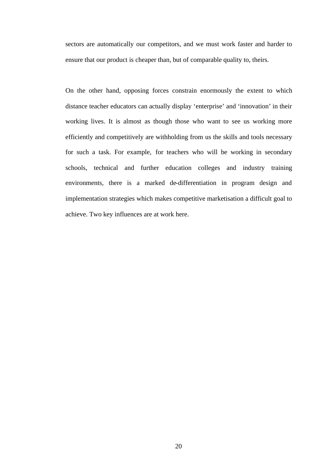sectors are automatically our competitors, and we must work faster and harder to ensure that our product is cheaper than, but of comparable quality to, theirs.

On the other hand, opposing forces constrain enormously the extent to which distance teacher educators can actually display 'enterprise' and 'innovation' in their working lives. It is almost as though those who want to see us working more efficiently and competitively are withholding from us the skills and tools necessary for such a task. For example, for teachers who will be working in secondary schools, technical and further education colleges and industry training environments, there is a marked de-differentiation in program design and implementation strategies which makes competitive marketisation a difficult goal to achieve. Two key influences are at work here.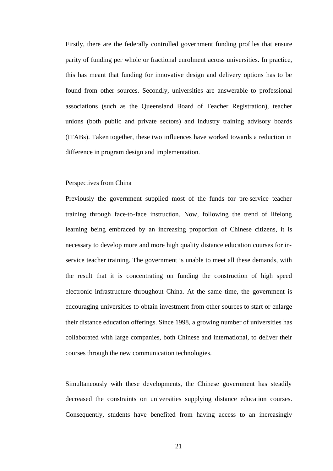Firstly, there are the federally controlled government funding profiles that ensure parity of funding per whole or fractional enrolment across universities. In practice, this has meant that funding for innovative design and delivery options has to be found from other sources. Secondly, universities are answerable to professional associations (such as the Queensland Board of Teacher Registration), teacher unions (both public and private sectors) and industry training advisory boards (ITABs). Taken together, these two influences have worked towards a reduction in difference in program design and implementation.

#### Perspectives from China

Previously the government supplied most of the funds for pre-service teacher training through face-to-face instruction. Now, following the trend of lifelong learning being embraced by an increasing proportion of Chinese citizens, it is necessary to develop more and more high quality distance education courses for inservice teacher training. The government is unable to meet all these demands, with the result that it is concentrating on funding the construction of high speed electronic infrastructure throughout China. At the same time, the government is encouraging universities to obtain investment from other sources to start or enlarge their distance education offerings. Since 1998, a growing number of universities has collaborated with large companies, both Chinese and international, to deliver their courses through the new communication technologies.

Simultaneously with these developments, the Chinese government has steadily decreased the constraints on universities supplying distance education courses. Consequently, students have benefited from having access to an increasingly

21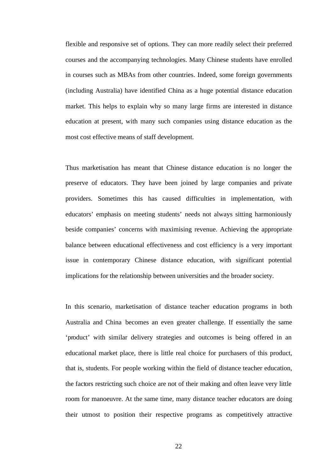flexible and responsive set of options. They can more readily select their preferred courses and the accompanying technologies. Many Chinese students have enrolled in courses such as MBAs from other countries. Indeed, some foreign governments (including Australia) have identified China as a huge potential distance education market. This helps to explain why so many large firms are interested in distance education at present, with many such companies using distance education as the most cost effective means of staff development.

Thus marketisation has meant that Chinese distance education is no longer the preserve of educators. They have been joined by large companies and private providers. Sometimes this has caused difficulties in implementation, with educators' emphasis on meeting students' needs not always sitting harmoniously beside companies' concerns with maximising revenue. Achieving the appropriate balance between educational effectiveness and cost efficiency is a very important issue in contemporary Chinese distance education, with significant potential implications for the relationship between universities and the broader society.

In this scenario, marketisation of distance teacher education programs in both Australia and China becomes an even greater challenge. If essentially the same 'product' with similar delivery strategies and outcomes is being offered in an educational market place, there is little real choice for purchasers of this product, that is, students. For people working within the field of distance teacher education, the factors restricting such choice are not of their making and often leave very little room for manoeuvre. At the same time, many distance teacher educators are doing their utmost to position their respective programs as competitively attractive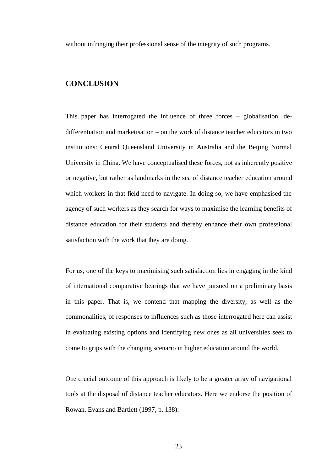without infringing their professional sense of the integrity of such programs.

## **CONCLUSION**

This paper has interrogated the influence of three forces – globalisation, dedifferentiation and marketisation – on the work of distance teacher educators in two institutions: Central Queensland University in Australia and the Beijing Normal University in China. We have conceptualised these forces, not as inherently positive or negative, but rather as landmarks in the sea of distance teacher education around which workers in that field need to navigate. In doing so, we have emphasised the agency of such workers as they search for ways to maximise the learning benefits of distance education for their students and thereby enhance their own professional satisfaction with the work that they are doing.

For us, one of the keys to maximising such satisfaction lies in engaging in the kind of international comparative bearings that we have pursued on a preliminary basis in this paper. That is, we contend that mapping the diversity, as well as the commonalities, of responses to influences such as those interrogated here can assist in evaluating existing options and identifying new ones as all universities seek to come to grips with the changing scenario in higher education around the world.

One crucial outcome of this approach is likely to be a greater array of navigational tools at the disposal of distance teacher educators. Here we endorse the position of Rowan, Evans and Bartlett (1997, p. 138):

23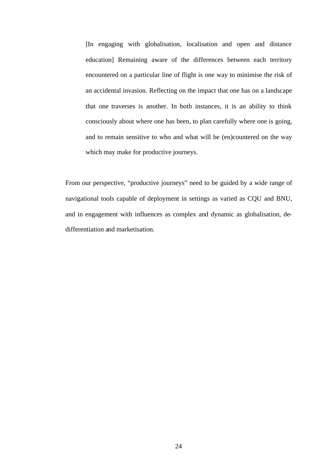[In engaging with globalisation, localisation and open and distance education] Remaining aware of the differences between each territory encountered on a particular line of flight is one way to minimise the risk of an accidental invasion. Reflecting on the impact that one has on a landscape that one traverses is another. In both instances, it is an ability to think consciously about where one has been, to plan carefully where one is going, and to remain sensitive to who and what will be (en)countered on the way which may make for productive journeys.

From our perspective, "productive journeys" need to be guided by a wide range of navigational tools capable of deployment in settings as varied as CQU and BNU, and in engagement with influences as complex and dynamic as globalisation, dedifferentiation and marketisation.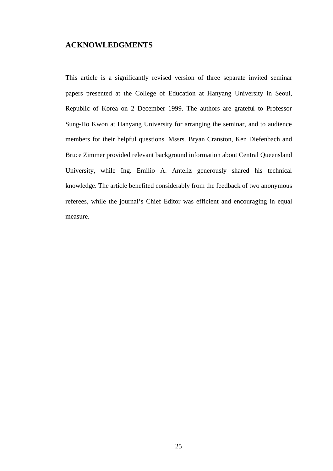## **ACKNOWLEDGMENTS**

This article is a significantly revised version of three separate invited seminar papers presented at the College of Education at Hanyang University in Seoul, Republic of Korea on 2 December 1999. The authors are grateful to Professor Sung-Ho Kwon at Hanyang University for arranging the seminar, and to audience members for their helpful questions. Mssrs. Bryan Cranston, Ken Diefenbach and Bruce Zimmer provided relevant background information about Central Queensland University, while Ing. Emilio A. Anteliz generously shared his technical knowledge. The article benefited considerably from the feedback of two anonymous referees, while the journal's Chief Editor was efficient and encouraging in equal measure.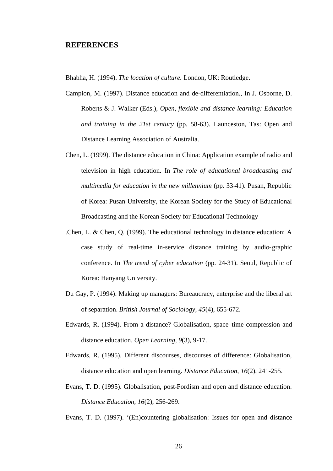#### **REFERENCES**

Bhabha, H. (1994). *The location of culture.* London, UK: Routledge.

- Campion, M. (1997). Distance education and de-differentiation., In J. Osborne, D. Roberts & J. Walker (Eds.), *Open, flexible and distance learning: Education and training in the 21st century* (pp. 58-63). Launceston, Tas: Open and Distance Learning Association of Australia.
- Chen, L. (1999). The distance education in China: Application example of radio and television in high education. In *The role of educational broadcasting and multimedia for education in the new millennium* (pp. 33-41). Pusan, Republic of Korea: Pusan University, the Korean Society for the Study of Educational Broadcasting and the Korean Society for Educational Technology
- .Chen, L. & Chen, Q. (1999). The educational technology in distance education: A case study of real-time in-service distance training by audio-graphic conference. In *The trend of cyber education* (pp. 24-31). Seoul, Republic of Korea: Hanyang University.
- Du Gay, P. (1994). Making up managers: Bureaucracy, enterprise and the liberal art of separation. *British Journal of Sociology, 45*(4), 655-672.
- Edwards, R. (1994). From a distance? Globalisation, space–time compression and distance education. *Open Learning, 9*(3), 9-17.
- Edwards, R. (1995). Different discourses, discourses of difference: Globalisation, distance education and open learning. *Distance Education, 16*(2), 241-255.
- Evans, T. D. (1995). Globalisation, post-Fordism and open and distance education. *Distance Education, 16*(2), 256-269.

Evans, T. D. (1997). '(En)countering globalisation: Issues for open and distance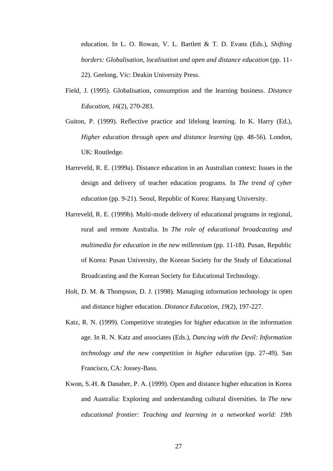education. In L. O. Rowan, V. L. Bartlett & T. D. Evans (Eds.), *Shifting borders: Globalisation, localisation and open and distance education* (pp. 11- 22). Geelong, Vic: Deakin University Press.

- Field, J. (1995). Globalisation, consumption and the learning business. *Distance Education, 16*(2), 270-283.
- Guiton, P. (1999). Reflective practice and lifelong learning. In K. Harry (Ed.), *Higher education through open and distance learning* (pp. 48-56). London, UK: Routledge.
- Harreveld, R. E. (1999a). Distance education in an Australian context: Issues in the design and delivery of teacher education programs. In *The trend of cyber education* (pp. 9-21). Seoul, Republic of Korea: Hanyang University.
- Harreveld, R. E. (1999b). Multi-mode delivery of educational programs in regional, rural and remote Australia. In *The role of educational broadcasting and multimedia for education in the new millennium* (pp. 11-18). Pusan, Republic of Korea: Pusan University, the Korean Society for the Study of Educational Broadcasting and the Korean Society for Educational Technology.
- Holt, D. M. & Thompson, D. J. (1998). Managing information technology in open and distance higher education. *Distance Education, 19*(2), 197-227.
- Katz, R. N. (1999). Competitive strategies for higher education in the information age. In R. N. Katz and associates (Eds.), *Dancing with the Devil: Information technology and the new competition in higher education* (pp. 27-49). San Francisco, CA: Jossey-Bass.
- Kwon, S.-H. & Danaher, P. A. (1999). Open and distance higher education in Korea and Australia: Exploring and understanding cultural diversities. In *The new educational frontier: Teaching and learning in a networked world: 19th*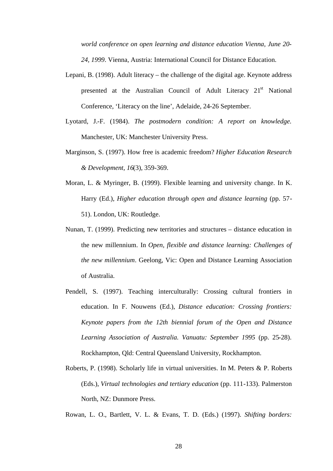*world conference on open learning and distance education Vienna, June 20- 24, 1999*. Vienna, Austria: International Council for Distance Education.

- Lepani, B. (1998). Adult literacy the challenge of the digital age. Keynote address presented at the Australian Council of Adult Literacy  $21<sup>st</sup>$  National Conference, 'Literacy on the line', Adelaide, 24-26 September.
- Lyotard, J.-F. (1984). *The postmodern condition: A report on knowledge.* Manchester, UK: Manchester University Press.
- Marginson, S. (1997). How free is academic freedom? *Higher Education Research & Development, 16*(3), 359-369.
- Moran, L. & Myringer, B. (1999). Flexible learning and university change. In K. Harry (Ed.), *Higher education through open and distance learning* (pp. 57- 51). London, UK: Routledge.
- Nunan, T. (1999). Predicting new territories and structures distance education in the new millennium. In *Open, flexible and distance learning: Challenges of the new millennium*. Geelong, Vic: Open and Distance Learning Association of Australia.
- Pendell, S. (1997). Teaching interculturally: Crossing cultural frontiers in education. In F. Nouwens (Ed.), *Distance education: Crossing frontiers: Keynote papers from the 12th biennial forum of the Open and Distance Learning Association of Australia. Vanuatu: September 1995* (pp. 25-28). Rockhampton, Qld: Central Queensland University, Rockhampton.
- Roberts, P. (1998). Scholarly life in virtual universities. In M. Peters & P. Roberts (Eds.), *Virtual technologies and tertiary education* (pp. 111-133). Palmerston North, NZ: Dunmore Press.

Rowan, L. O., Bartlett, V. L. & Evans, T. D. (Eds.) (1997). *Shifting borders:*